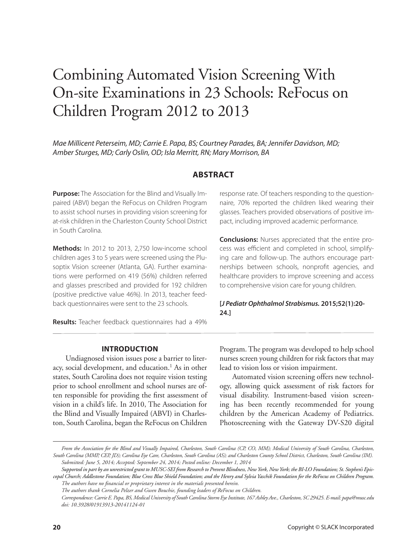# Combining Automated Vision Screening With On-site Examinations in 23 Schools: ReFocus on Children Program 2012 to 2013

*Mae Millicent Peterseim, MD; Carrie E. Papa, BS; Courtney Parades, BA; Jennifer Davidson, MD; Amber Sturges, MD; Carly Oslin, OD; Isla Merritt, RN; Mary Morrison, BA*

#### **ABSTRACT**

**Purpose:** The Association for the Blind and Visually Impaired (ABVI) began the ReFocus on Children Program to assist school nurses in providing vision screening for at-risk children in the Charleston County School District in South Carolina.

**Methods:** In 2012 to 2013, 2,750 low-income school children ages 3 to 5 years were screened using the Plusoptix Vision screener (Atlanta, GA). Further examinations were performed on 419 (56%) children referred and glasses prescribed and provided for 192 children (positive predictive value 46%). In 2013, teacher feedback questionnaires were sent to the 23 schools.

**Results:** Teacher feedback questionnaires had a 49%

response rate. Of teachers responding to the questionnaire, 70% reported the children liked wearing their glasses. Teachers provided observations of positive impact, including improved academic performance.

**Conclusions:** Nurses appreciated that the entire process was efficient and completed in school, simplifying care and follow-up. The authors encourage partnerships between schools, nonprofit agencies, and healthcare providers to improve screening and access to comprehensive vision care for young children.

#### **[***J Pediatr Ophthalmol Strabismus.* **2015;52(1):20- 24.]**

#### **INTRODUCTION**

Undiagnosed vision issues pose a barrier to literacy, social development, and education.<sup>1</sup> As in other states, South Carolina does not require vision testing prior to school enrollment and school nurses are often responsible for providing the first assessment of vision in a child's life. In 2010, The Association for the Blind and Visually Impaired (ABVI) in Charleston, South Carolina, began the ReFocus on Children

Program. The program was developed to help school nurses screen young children for risk factors that may lead to vision loss or vision impairment.

Automated vision screening offers new technology, allowing quick assessment of risk factors for visual disability. Instrument-based vision screening has been recently recommended for young children by the American Academy of Pediatrics. Photoscreening with the Gateway DV-S20 digital

*Supported in part by an unrestricted grant to MUSC-SEI from Research to Prevent Blindness, New York, New York; the BI-LO Foundation; St. Stephen's Episcopal Church; Addlestone Foundation; Blue Cross Blue Shield Foundation; and the Henry and Sylvia Yaschik Foundation for the ReFocus on Children Program. The authors have no financial or proprietary interest in the materials presented herein.*

*Correspondence: Carrie E. Papa, BS, Medical University of South Carolina Storm Eye Institute, 167 Ashley Ave., Charleston, SC 29425. E-mail: papa@musc.edu doi: 10.3928/01913913-20141124-01*

*From the Association for the Blind and Visually Impaired, Charleston, South Carolina (CP, CO, MM); Medical University of South Carolina, Charleston, South Carolina (MMP, CEP, JD); Carolina Eye Care, Charleston, South Carolina (AS); and Charleston County School District, Charleston, South Carolina (IM). Submitted: June 5, 2014; Accepted: September 24, 2014; Posted online: December 1, 2014*

*The authors thank Cornelia Pelzer and Gwen Bouchie, founding leaders of ReFocus on Children.*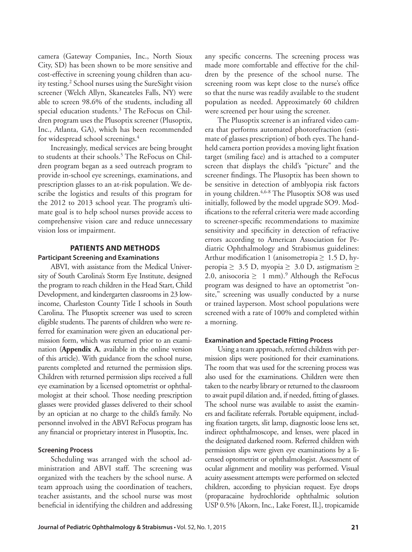camera (Gateway Companies, Inc., North Sioux City, SD) has been shown to be more sensitive and cost-effective in screening young children than acuity testing.2 School nurses using the SureSight vision screener (Welch Allyn, Skaneateles Falls, NY) were able to screen 98.6% of the students, including all special education students.<sup>3</sup> The ReFocus on Children program uses the Plusoptix screener (Plusoptix, Inc., Atlanta, GA), which has been recommended for widespread school screenings.<sup>4</sup>

Increasingly, medical services are being brought to students at their schools.<sup>5</sup> The ReFocus on Children program began as a seed outreach program to provide in-school eye screenings, examinations, and prescription glasses to an at-risk population. We describe the logistics and results of this program for the 2012 to 2013 school year. The program's ultimate goal is to help school nurses provide access to comprehensive vision care and reduce unnecessary vision loss or impairment.

#### **PATIENTS AND METHODS Participant Screening and Examinations**

ABVI, with assistance from the Medical University of South Carolina's Storm Eye Institute, designed the program to reach children in the Head Start, Child Development, and kindergarten classrooms in 23 lowincome, Charleston County Title I schools in South Carolina. The Plusoptix screener was used to screen eligible students. The parents of children who were referred for examination were given an educational permission form, which was returned prior to an examination (**Appendix A**, available in the online version of this article). With guidance from the school nurse, parents completed and returned the permission slips. Children with returned permission slips received a full eye examination by a licensed optometrist or ophthalmologist at their school. Those needing prescription glasses were provided glasses delivered to their school by an optician at no charge to the child's family. No personnel involved in the ABVI ReFocus program has any financial or proprietary interest in Plusoptix, Inc.

#### **Screening Process**

Scheduling was arranged with the school administration and ABVI staff. The screening was organized with the teachers by the school nurse. A team approach using the coordination of teachers, teacher assistants, and the school nurse was most beneficial in identifying the children and addressing any specific concerns. The screening process was made more comfortable and effective for the children by the presence of the school nurse. The screening room was kept close to the nurse's office so that the nurse was readily available to the student population as needed. Approximately 60 children were screened per hour using the screener.

The Plusoptix screener is an infrared video camera that performs automated photorefraction (estimate of glasses prescription) of both eyes. The handheld camera portion provides a moving light fixation target (smiling face) and is attached to a computer screen that displays the child's "picture" and the screener findings. The Plusoptix has been shown to be sensitive in detection of amblyopia risk factors in young children.<sup>4,6-8</sup> The Plusoptix SO8 was used initially, followed by the model upgrade SO9. Modifications to the referral criteria were made according to screener-specific recommendations to maximize sensitivity and specificity in detection of refractive errors according to American Association for Pediatric Ophthalmology and Strabismus guidelines: Arthur modification 1 (anisometropia  $\geq 1.5$  D, hyperopia  $\geq 3.5$  D, myopia  $\geq 3.0$  D, astigmatism  $\geq$ 2.0, anisocoria  $\geq 1$  mm).<sup>9</sup> Although the ReFocus program was designed to have an optometrist "onsite," screening was usually conducted by a nurse or trained layperson. Most school populations were screened with a rate of 100% and completed within a morning.

#### **Examination and Spectacle Fitting Process**

Using a team approach, referred children with permission slips were positioned for their examinations. The room that was used for the screening process was also used for the examinations. Children were then taken to the nearby library or returned to the classroom to await pupil dilation and, if needed, fitting of glasses. The school nurse was available to assist the examiners and facilitate referrals. Portable equipment, including fixation targets, slit lamp, diagnostic loose lens set, indirect ophthalmoscope, and lenses, were placed in the designated darkened room. Referred children with permission slips were given eye examinations by a licensed optometrist or ophthalmologist. Assessment of ocular alignment and motility was performed. Visual acuity assessment attempts were performed on selected children, according to physician request. Eye drops (proparacaine hydrochloride ophthalmic solution USP 0.5% [Akorn, Inc., Lake Forest, IL], tropicamide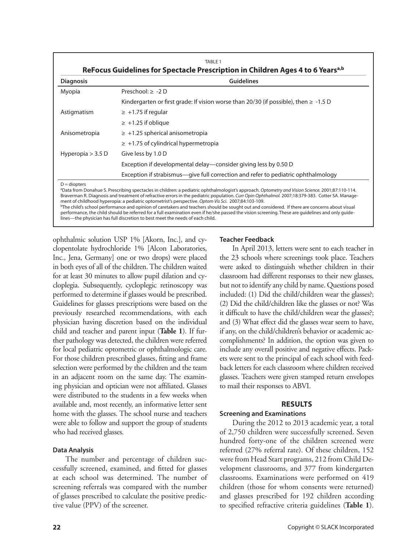| <b>Diagnosis</b>    | <b>Guidelines</b>                                                                         |  |  |  |  |
|---------------------|-------------------------------------------------------------------------------------------|--|--|--|--|
| Myopia              | Preschool: $\geq -2$ D                                                                    |  |  |  |  |
|                     | Kindergarten or first grade: If vision worse than 20/30 (if possible), then $\geq -1.5$ D |  |  |  |  |
| Astigmatism         | $\geq$ +1.75 if regular                                                                   |  |  |  |  |
|                     | $\geq$ +1.25 if oblique                                                                   |  |  |  |  |
| Anisometropia       | $\ge$ +1.25 spherical anisometropia                                                       |  |  |  |  |
|                     | $\ge$ +1.75 of cylindrical hypermetropia                                                  |  |  |  |  |
| Hyperopia $>$ 3.5 D | Give less by 1.0 D                                                                        |  |  |  |  |
|                     | Exception if developmental delay—consider giving less by 0.50 D                           |  |  |  |  |
|                     | Exception if strabismus—give full correction and refer to pediatric ophthalmology         |  |  |  |  |

performance, the child should be referred for a full examination even if he/she passed the vision screening. These are guidelines and only guide-

ophthalmic solution USP 1% [Akorn, Inc.], and cyclopentolate hydrochloride 1% [Alcon Laboratories, Inc., Jena, Germany] one or two drops) were placed in both eyes of all of the children. The children waited for at least 30 minutes to allow pupil dilation and cycloplegia. Subsequently, cycloplegic retinoscopy was performed to determine if glasses would be prescribed. Guidelines for glasses prescriptions were based on the previously researched recommendations, with each physician having discretion based on the individual child and teacher and parent input (**Table 1**). If further pathology was detected, the children were referred for local pediatric optometric or ophthalmologic care. For those children prescribed glasses, fitting and frame selection were performed by the children and the team in an adjacent room on the same day. The examining physician and optician were not affiliated. Glasses were distributed to the students in a few weeks when available and, most recently, an informative letter sent home with the glasses. The school nurse and teachers were able to follow and support the group of students who had received glasses.

lines—the physician has full discretion to best meet the needs of each child.

#### **Data Analysis**

The number and percentage of children successfully screened, examined, and fitted for glasses at each school was determined. The number of screening referrals was compared with the number of glasses prescribed to calculate the positive predictive value (PPV) of the screener.

#### **Teacher Feedback**

In April 2013, letters were sent to each teacher in the 23 schools where screenings took place. Teachers were asked to distinguish whether children in their classroom had different responses to their new glasses, but not to identify any child by name. Questions posed included: (1) Did the child/children wear the glasses?; (2) Did the child/children like the glasses or not? Was it difficult to have the child/children wear the glasses?; and (3) What effect did the glasses wear seem to have, if any, on the child/children's behavior or academic accomplishments? In addition, the option was given to include any overall positive and negative effects. Packets were sent to the principal of each school with feedback letters for each classroom where children received glasses. Teachers were given stamped return envelopes to mail their responses to ABVI.

#### **RESULTS**

#### **Screening and Examinations**

During the 2012 to 2013 academic year, a total of 2,750 children were successfully screened. Seven hundred forty-one of the children screened were referred (27% referral rate). Of these children, 152 were from Head Start programs, 212 from Child Development classrooms, and 377 from kindergarten classrooms. Examinations were performed on 419 children (those for whom consents were returned) and glasses prescribed for 192 children according to specified refractive criteria guidelines (**Table 1**).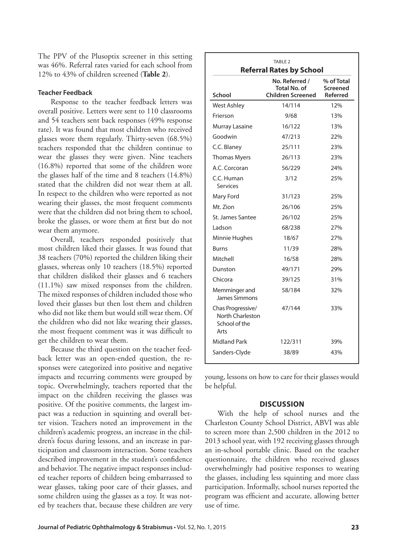The PPV of the Plusoptix screener in this setting was 46%. Referral rates varied for each school from 12% to 43% of children screened (**Table 2**).

#### **Teacher Feedback**

Response to the teacher feedback letters was overall positive. Letters were sent to 110 classrooms and 54 teachers sent back responses (49% response rate). It was found that most children who received glasses wore them regularly. Thirty-seven (68.5%) teachers responded that the children continue to wear the glasses they were given. Nine teachers (16.8%) reported that some of the children wore the glasses half of the time and 8 teachers (14.8%) stated that the children did not wear them at all. In respect to the children who were reported as not wearing their glasses, the most frequent comments were that the children did not bring them to school, broke the glasses, or wore them at first but do not wear them anymore.

Overall, teachers responded positively that most children liked their glasses. It was found that 38 teachers (70%) reported the children liking their glasses, whereas only 10 teachers (18.5%) reported that children disliked their glasses and 6 teachers (11.1%) saw mixed responses from the children. The mixed responses of children included those who loved their glasses but then lost them and children who did not like them but would still wear them. Of the children who did not like wearing their glasses, the most frequent comment was it was difficult to get the children to wear them.

Because the third question on the teacher feedback letter was an open-ended question, the responses were categorized into positive and negative impacts and recurring comments were grouped by topic. Overwhelmingly, teachers reported that the impact on the children receiving the glasses was positive. Of the positive comments, the largest impact was a reduction in squinting and overall better vision. Teachers noted an improvement in the children's academic progress, an increase in the children's focus during lessons, and an increase in participation and classroom interaction. Some teachers described improvement in the student's confidence and behavior. The negative impact responses included teacher reports of children being embarrassed to wear glasses, taking poor care of their glasses, and some children using the glasses as a toy. It was noted by teachers that, because these children are very

| TABLE <sub>2</sub><br><b>Referral Rates by School</b>          |                                                                   |                                    |  |  |  |  |  |
|----------------------------------------------------------------|-------------------------------------------------------------------|------------------------------------|--|--|--|--|--|
| School                                                         | No. Referred /<br><b>Total No. of</b><br><b>Children Screened</b> | % of Total<br>Screened<br>Referred |  |  |  |  |  |
| <b>West Ashley</b>                                             | 14/114                                                            | 12%                                |  |  |  |  |  |
| Frierson                                                       | 9/68                                                              | 13%                                |  |  |  |  |  |
| Murray Lasaine                                                 | 16/122                                                            | 13%                                |  |  |  |  |  |
| Goodwin                                                        | 47/213                                                            | 22%                                |  |  |  |  |  |
| C.C. Blaney                                                    | 25/111                                                            | 23%                                |  |  |  |  |  |
| <b>Thomas Myers</b>                                            | 26/113                                                            | 23%                                |  |  |  |  |  |
| A.C. Corcoran                                                  | 56/229                                                            | 24%                                |  |  |  |  |  |
| C.C. Human<br>Services                                         | 3/12                                                              | 25%                                |  |  |  |  |  |
| Mary Ford                                                      | 31/123                                                            | 25%                                |  |  |  |  |  |
| Mt. Zion                                                       | 26/106                                                            | 25%                                |  |  |  |  |  |
| St. James Santee                                               | 26/102                                                            | 25%                                |  |  |  |  |  |
| Ladson                                                         | 68/238                                                            | 27%                                |  |  |  |  |  |
| Minnie Hughes                                                  | 18/67                                                             | 27%                                |  |  |  |  |  |
| Burns                                                          | 11/39                                                             | 28%                                |  |  |  |  |  |
| Mitchell                                                       | 16/58                                                             | 28%                                |  |  |  |  |  |
| Dunston                                                        | 49/171                                                            | 29%                                |  |  |  |  |  |
| Chicora                                                        | 39/125                                                            | 31%                                |  |  |  |  |  |
| Memminger and<br>James Simmons                                 | 58/184                                                            | 32%                                |  |  |  |  |  |
| Chas Progressive/<br>North Charleston<br>School of the<br>Arts | 47/144                                                            | 33%                                |  |  |  |  |  |
| Midland Park                                                   | 122/311                                                           | 39%                                |  |  |  |  |  |
| Sanders-Clyde                                                  | 38/89                                                             | 43%                                |  |  |  |  |  |

young, lessons on how to care for their glasses would be helpful.

#### **DISCUSSION**

With the help of school nurses and the Charleston County School District, ABVI was able to screen more than 2,500 children in the 2012 to 2013 school year, with 192 receiving glasses through an in-school portable clinic. Based on the teacher questionnaire, the children who received glasses overwhelmingly had positive responses to wearing the glasses, including less squinting and more class participation. Informally, school nurses reported the program was efficient and accurate, allowing better use of time.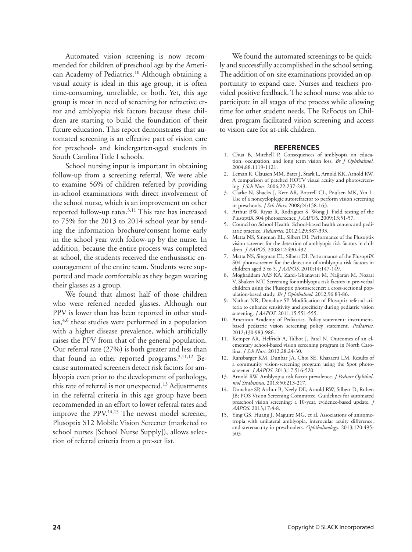Automated vision screening is now recommended for children of preschool age by the American Academy of Pediatrics.10 Although obtaining a visual acuity is ideal in this age group, it is often time-consuming, unreliable, or both. Yet, this age group is most in need of screening for refractive error and amblyopia risk factors because these children are starting to build the foundation of their future education. This report demonstrates that automated screening is an effective part of vision care for preschool- and kindergarten-aged students in South Carolina Title I schools.

School nursing input is important in obtaining follow-up from a screening referral. We were able to examine 56% of children referred by providing in-school examinations with direct involvement of the school nurse, which is an improvement on other reported follow-up rates.<sup>3,11</sup> This rate has increased to 75% for the 2013 to 2014 school year by sending the information brochure/consent home early in the school year with follow-up by the nurse. In addition, because the entire process was completed at school, the students received the enthusiastic encouragement of the entire team. Students were supported and made comfortable as they began wearing their glasses as a group.

We found that almost half of those children who were referred needed glasses. Although our PPV is lower than has been reported in other studies,<sup>4,6</sup> these studies were performed in a population with a higher disease prevalence, which artificially raises the PPV from that of the general population. Our referral rate (27%) is both greater and less than that found in other reported programs.3,11,12 Because automated screeners detect risk factors for amblyopia even prior to the development of pathology, this rate of referral is not unexpected.13 Adjustments in the referral criteria in this age group have been recommended in an effort to lower referral rates and improve the PPV.<sup>14,15</sup> The newest model screener, Plusoptix S12 Mobile Vision Screener (marketed to school nurses [School Nurse Supply]), allows selection of referral criteria from a pre-set list.

We found the automated screenings to be quickly and successfully accomplished in the school setting. The addition of on-site examinations provided an opportunity to expand care. Nurses and teachers provided positive feedback. The school nurse was able to participate in all stages of the process while allowing time for other student needs. The ReFocus on Children program facilitated vision screening and access to vision care for at-risk children.

#### **REFERENCES**

- 1. Chua B, Mitchell P. Consequences of amblyopia on education, occupation, and long term vision loss. *Br J Ophthalmol*. 2004;88:1119-1121.
- 2. Leman R, Clausen MM, Bates J, Stark L, Arnold KK, Arnold RW. A comparison of patched HOTV visual acuity and photoscreening. *J Sch Nurs*. 2006;22:237-243.
- 3. Clarke N, Shacks J, Kerr AR, Bottrell CL, Poulsen MK, Yin L. Use of a noncycloplegic autorefractor to perform vision screening in preschools. *J Sch Nurs*. 2008;24:158-163.
- 4. Arthur BW, Riyaz R, Rodriguez S, Wong J. Field testing of the PlusoptiX S04 photoscreener. *J AAPOS*. 2009;13:51-57.
- 5. Council on School Health. School-based health centers and pediatric practice. *Pediatrics*. 2012;129:387-393.
- 6. Matta NS, Singman EL, Silbert DI. Performance of the Plusoptix vision screener for the detection of amblyopia risk factors in children. *J AAPOS*. 2008;12:490-492.
- 7. Matta NS, Singman EL, Silbert DI. Performance of the PlusoptiX S04 photoscreener for the detection of amblyopia risk factors in children aged 3 to 5. *J AAPOS*. 2010;14:147-149.
- 8. Moghaddam AAS KA, Zarei-Ghanavati M, Najjaran M, Nozari V, Shakeri MT. Screening for amblyopia risk factors in pre-verbal children using the Plusoptix photoscreener: a cross-sectional population-based study. *Br J Ophthalmol*. 2012;96 83-86.
- 9. Nathan NR, Donahue SP. Modification of Plusoptix referral criteria to enhance sensitivity and specificity during pediatric vision screening. *J AAPOS.* 2011;15:551-555.
- 10. American Academy of Pediatrics. Policy statement: instrumentbased pediatric vision screening policy statement. *Pediatrics*. 2012;130:983-986.
- 11. Kemper AR, Helfrich A, Talbot J, Patel N. Outcomes of an elementary school-based vision screening program in North Carolina. *J Sch Nurs*. 2012;28:24-30.
- 12. Ransbarger KM, Dunbar JA, Choi SE, Khazaeni LM. Results of a community vision-screening program using the Spot photoscreener. *J AAPOS*. 2013;17:516-520.
- 13. Arnold RW. Amblyopia risk factor prevalence. *J Pediatr Ophthalmol Strabismus*. 2013;50:213-217.
- 14. Donahue SP, Arthur B, Neely DE, Arnold RW, Silbert D, Ruben JB; POS Vision Screening Committee. Guidelines for automated preschool vision screening: a 10-year, evidence-based update. *J AAPOS*. 2013;17:4-8.
- 15. Ying GS, Huang J, Maguire MG, et al. Associations of anisometropia with unilateral amblyopia, interocular acuity difference, and stereoacuity in preschoolers. *Ophthalmology*. 2013;120:495- 503.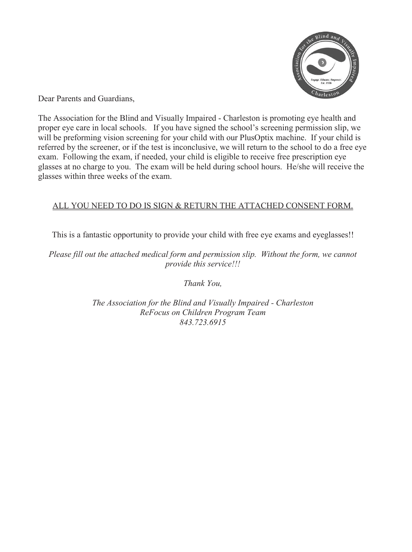

Dear Parents and Guardians,

The Association for the Blind and Visually Impaired - Charleston is promoting eye health and proper eye care in local schools. If you have signed the school's screening permission slip, we will be preforming vision screening for your child with our PlusOptix machine. If your child is referred by the screener, or if the test is inconclusive, we will return to the school to do a free eye exam. Following the exam, if needed, your child is eligible to receive free prescription eye glasses at no charge to you. The exam will be held during school hours. He/she will receive the glasses within three weeks of the exam.

### ALL YOU NEED TO DO IS SIGN & RETURN THE ATTACHED CONSENT FORM.

This is a fantastic opportunity to provide your child with free eye exams and eyeglasses!!

*Please fill out the attached medical form and permission slip. Without the form, we cannot provide this service!!!* 

*Thank You,* 

*The Association for the Blind and Visually Impaired - Charleston ReFocus on Children Program Team 843.723.6915*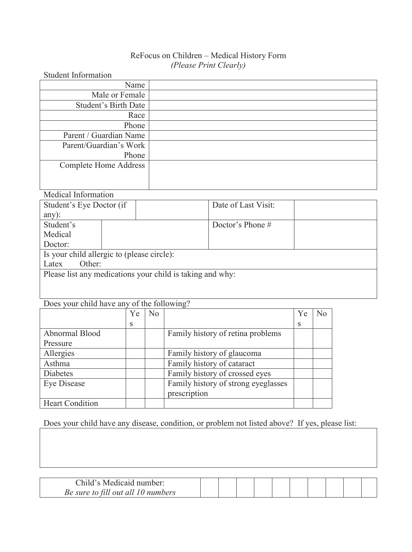## ReFocus on Children – Medical History Form *(Please Print Clearly)*

| <b>Student Information</b> |  |
|----------------------------|--|
| Name                       |  |
| Male or Female             |  |
| Student's Birth Date       |  |
| Race                       |  |
| Phone                      |  |
| Parent / Guardian Name     |  |
| Parent/Guardian's Work     |  |
| Phone                      |  |
| Complete Home Address      |  |
|                            |  |
|                            |  |

## Medical Information

|                                                           | Student's Eye Doctor (if |  | Date of Last Visit: |  |  |  |  |  |
|-----------------------------------------------------------|--------------------------|--|---------------------|--|--|--|--|--|
| $any)$ :                                                  |                          |  |                     |  |  |  |  |  |
| Student's                                                 |                          |  | Doctor's Phone $#$  |  |  |  |  |  |
| Medical                                                   |                          |  |                     |  |  |  |  |  |
| Doctor:                                                   |                          |  |                     |  |  |  |  |  |
| Is your child allergic to (please circle):                |                          |  |                     |  |  |  |  |  |
| Other:<br>Latex                                           |                          |  |                     |  |  |  |  |  |
| Please list any medications your child is taking and why: |                          |  |                     |  |  |  |  |  |
|                                                           |                          |  |                     |  |  |  |  |  |
|                                                           |                          |  |                     |  |  |  |  |  |

## Does your child have any of the following?

|                        | Ye | No |                                     | Ye | Nο |
|------------------------|----|----|-------------------------------------|----|----|
|                        | S  |    |                                     | S  |    |
| Abnormal Blood         |    |    | Family history of retina problems   |    |    |
| Pressure               |    |    |                                     |    |    |
| Allergies              |    |    | Family history of glaucoma          |    |    |
| Asthma                 |    |    | Family history of cataract          |    |    |
| <b>Diabetes</b>        |    |    | Family history of crossed eyes      |    |    |
| Eye Disease            |    |    | Family history of strong eyeglasses |    |    |
|                        |    |    | prescription                        |    |    |
| <b>Heart Condition</b> |    |    |                                     |    |    |

## Does your child have any disease, condition, or problem not listed above? If yes, please list:

| Child's Medicaid number:           |  |  |  |  |  |
|------------------------------------|--|--|--|--|--|
| Be sure to fill out all 10 numbers |  |  |  |  |  |